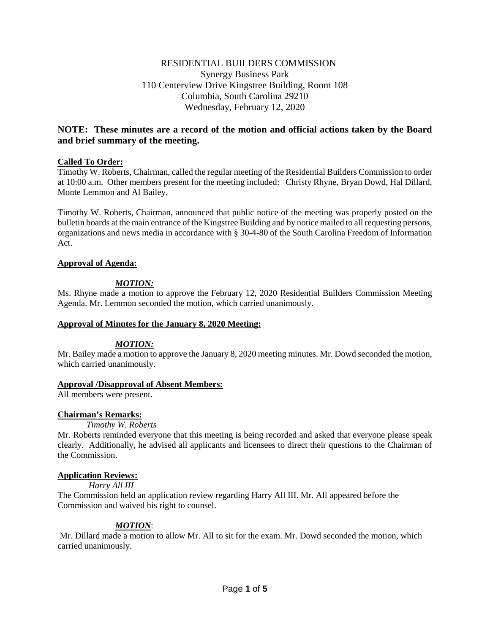# RESIDENTIAL BUILDERS COMMISSION Synergy Business Park 110 Centerview Drive Kingstree Building, Room 108 Columbia, South Carolina 29210 Wednesday, February 12, 2020

# **NOTE: These minutes are a record of the motion and official actions taken by the Board and brief summary of the meeting.**

## **Called To Order:**

Timothy W. Roberts, Chairman, called the regular meeting of the Residential Builders Commission to order at 10:00 a.m. Other members present for the meeting included: Christy Rhyne, Bryan Dowd, Hal Dillard, Monte Lemmon and Al Bailey.

Timothy W. Roberts, Chairman, announced that public notice of the meeting was properly posted on the bulletin boards at the main entrance of the Kingstree Building and by notice mailed to all requesting persons, organizations and news media in accordance with § 30-4-80 of the South Carolina Freedom of Information Act.

## **Approval of Agenda:**

# *MOTION:*

Ms. Rhyne made a motion to approve the February 12, 2020 Residential Builders Commission Meeting Agenda. Mr. Lemmon seconded the motion, which carried unanimously.

### **Approval of Minutes for the January 8, 2020 Meeting:**

### *MOTION:*

Mr. Bailey made a motion to approve the January 8, 2020 meeting minutes. Mr. Dowd seconded the motion, which carried unanimously.

### **Approval /Disapproval of Absent Members:**

All members were present.

# **Chairman's Remarks:**

### *Timothy W. Roberts*

Mr. Roberts reminded everyone that this meeting is being recorded and asked that everyone please speak clearly. Additionally, he advised all applicants and licensees to direct their questions to the Chairman of the Commission.

# **Application Reviews:**

*Harry All III*

The Commission held an application review regarding Harry All III. Mr. All appeared before the Commission and waived his right to counsel.

# *MOTION*:

Mr. Dillard made a motion to allow Mr. All to sit for the exam. Mr. Dowd seconded the motion, which carried unanimously.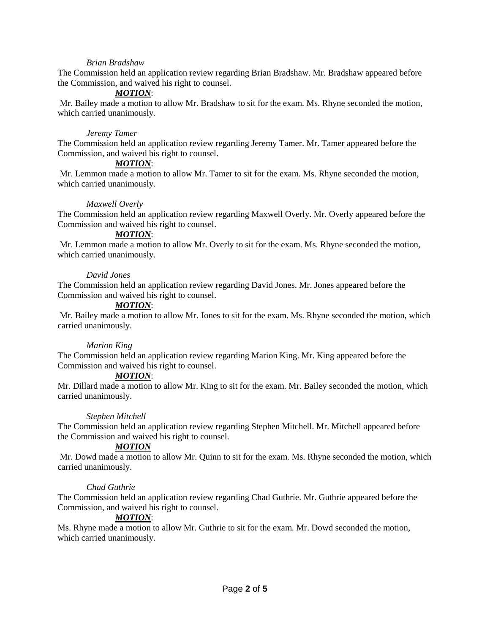### *Brian Bradshaw*

The Commission held an application review regarding Brian Bradshaw. Mr. Bradshaw appeared before the Commission, and waived his right to counsel.

### *MOTION*:

Mr. Bailey made a motion to allow Mr. Bradshaw to sit for the exam. Ms. Rhyne seconded the motion, which carried unanimously.

#### *Jeremy Tamer*

The Commission held an application review regarding Jeremy Tamer. Mr. Tamer appeared before the Commission, and waived his right to counsel.

#### *MOTION*:

Mr. Lemmon made a motion to allow Mr. Tamer to sit for the exam. Ms. Rhyne seconded the motion, which carried unanimously.

#### *Maxwell Overly*

The Commission held an application review regarding Maxwell Overly. Mr. Overly appeared before the Commission and waived his right to counsel.

#### *MOTION*:

Mr. Lemmon made a motion to allow Mr. Overly to sit for the exam. Ms. Rhyne seconded the motion, which carried unanimously.

#### *David Jones*

The Commission held an application review regarding David Jones. Mr. Jones appeared before the Commission and waived his right to counsel.

### *MOTION*:

Mr. Bailey made a motion to allow Mr. Jones to sit for the exam. Ms. Rhyne seconded the motion, which carried unanimously.

### *Marion King*

The Commission held an application review regarding Marion King. Mr. King appeared before the Commission and waived his right to counsel.

#### *MOTION*:

Mr. Dillard made a motion to allow Mr. King to sit for the exam. Mr. Bailey seconded the motion, which carried unanimously.

#### *Stephen Mitchell*

The Commission held an application review regarding Stephen Mitchell. Mr. Mitchell appeared before the Commission and waived his right to counsel.

### *MOTION*

Mr. Dowd made a motion to allow Mr. Quinn to sit for the exam. Ms. Rhyne seconded the motion, which carried unanimously.

#### *Chad Guthrie*

The Commission held an application review regarding Chad Guthrie. Mr. Guthrie appeared before the Commission, and waived his right to counsel.

### *MOTION*:

Ms. Rhyne made a motion to allow Mr. Guthrie to sit for the exam. Mr. Dowd seconded the motion, which carried unanimously.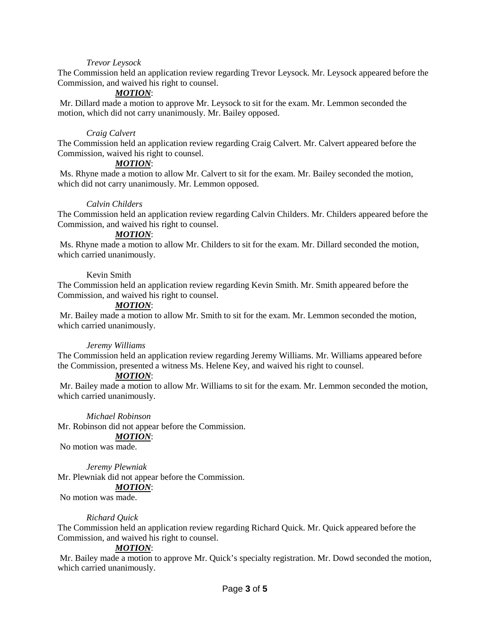### *Trevor Leysock*

The Commission held an application review regarding Trevor Leysock. Mr. Leysock appeared before the Commission, and waived his right to counsel.

# *MOTION*:

Mr. Dillard made a motion to approve Mr. Leysock to sit for the exam. Mr. Lemmon seconded the motion, which did not carry unanimously. Mr. Bailey opposed.

## *Craig Calvert*

The Commission held an application review regarding Craig Calvert. Mr. Calvert appeared before the Commission, waived his right to counsel.

## *MOTION*:

Ms. Rhyne made a motion to allow Mr. Calvert to sit for the exam. Mr. Bailey seconded the motion, which did not carry unanimously. Mr. Lemmon opposed.

## *Calvin Childers*

The Commission held an application review regarding Calvin Childers. Mr. Childers appeared before the Commission, and waived his right to counsel.

### *MOTION*:

Ms. Rhyne made a motion to allow Mr. Childers to sit for the exam. Mr. Dillard seconded the motion, which carried unanimously.

## Kevin Smith

The Commission held an application review regarding Kevin Smith. Mr. Smith appeared before the Commission, and waived his right to counsel.

## *MOTION*:

Mr. Bailey made a motion to allow Mr. Smith to sit for the exam. Mr. Lemmon seconded the motion, which carried unanimously.

### *Jeremy Williams*

The Commission held an application review regarding Jeremy Williams. Mr. Williams appeared before the Commission, presented a witness Ms. Helene Key, and waived his right to counsel.

### *MOTION*:

Mr. Bailey made a motion to allow Mr. Williams to sit for the exam. Mr. Lemmon seconded the motion, which carried unanimously.

*Michael Robinson*

Mr. Robinson did not appear before the Commission.

### *MOTION*:

No motion was made.

#### *Jeremy Plewniak*

Mr. Plewniak did not appear before the Commission.

# *MOTION*:

No motion was made.

### *Richard Quick*

The Commission held an application review regarding Richard Quick. Mr. Quick appeared before the Commission, and waived his right to counsel.

### *MOTION*:

Mr. Bailey made a motion to approve Mr. Quick's specialty registration. Mr. Dowd seconded the motion, which carried unanimously.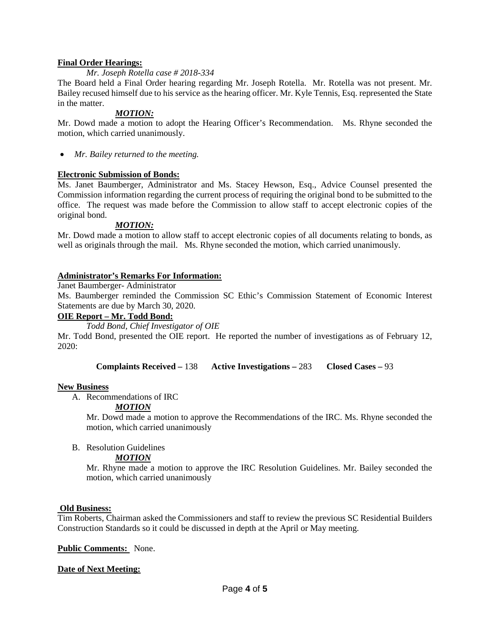### **Final Order Hearings:**

### *Mr. Joseph Rotella case # 2018-334*

The Board held a Final Order hearing regarding Mr. Joseph Rotella. Mr. Rotella was not present. Mr. Bailey recused himself due to his service as the hearing officer. Mr. Kyle Tennis, Esq. represented the State in the matter.

### *MOTION:*

Mr. Dowd made a motion to adopt the Hearing Officer's Recommendation. Ms. Rhyne seconded the motion, which carried unanimously.

• *Mr. Bailey returned to the meeting.* 

## **Electronic Submission of Bonds:**

Ms. Janet Baumberger, Administrator and Ms. Stacey Hewson, Esq., Advice Counsel presented the Commission information regarding the current process of requiring the original bond to be submitted to the office. The request was made before the Commission to allow staff to accept electronic copies of the original bond.

## *MOTION:*

Mr. Dowd made a motion to allow staff to accept electronic copies of all documents relating to bonds, as well as originals through the mail. Ms. Rhyne seconded the motion, which carried unanimously.

## **Administrator's Remarks For Information:**

Janet Baumberger- Administrator

Ms. Baumberger reminded the Commission SC Ethic's Commission Statement of Economic Interest Statements are due by March 30, 2020.

# **OIE Report – Mr. Todd Bond:**

*Todd Bond, Chief Investigator of OIE*

Mr. Todd Bond, presented the OIE report. He reported the number of investigations as of February 12, 2020:

**Complaints Received –** 138 **Active Investigations –** 283 **Closed Cases –** 93

### **New Business**

A. Recommendations of IRC

### *MOTION*

Mr. Dowd made a motion to approve the Recommendations of the IRC. Ms. Rhyne seconded the motion, which carried unanimously

B. Resolution Guidelines

## *MOTION*

Mr. Rhyne made a motion to approve the IRC Resolution Guidelines. Mr. Bailey seconded the motion, which carried unanimously

### **Old Business:**

Tim Roberts, Chairman asked the Commissioners and staff to review the previous SC Residential Builders Construction Standards so it could be discussed in depth at the April or May meeting.

### **Public Comments:** None.

### **Date of Next Meeting:**